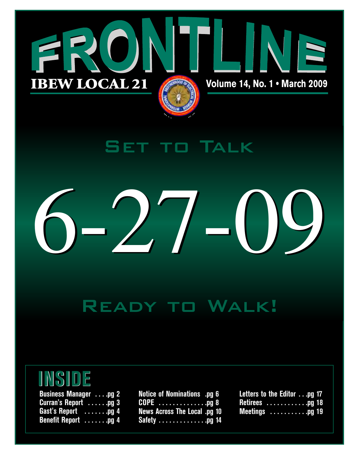

# Set to Talk



# Ready to Walk!

# **INSIDE**

| <b>Business Manager</b> pg 2 |  |  |  |
|------------------------------|--|--|--|
| <b>Curran's Report</b> pg 3  |  |  |  |
| Gast's Report pg 4           |  |  |  |
| <b>Benefit Report</b> pg 4   |  |  |  |

**Notice of Nominations .pg 6 COPE . . . . . . . . . . . . . .pg 8 News Across The Local .pg 10 Safety . . . . . . . . . . . . . .pg 14**

**Letters to the Editor . . .pg 17 Retirees . . . . . . . . . . . .pg 18 Meetings . . . . . . . . . . .pg 19**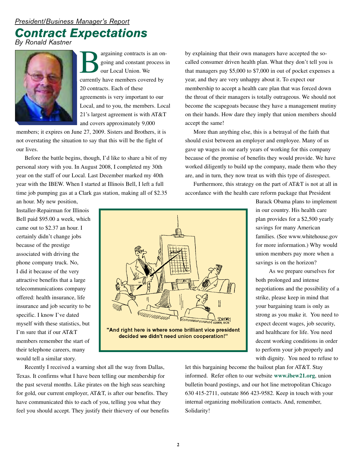# *President/Business Manager's Report*

# *Contract Expectations*

*By Ronald Kastner*



**Bargaining contracts is an on-**<br>going and constant process is<br>our Local Union. We<br>currently have members covered by going and constant process in our Local Union. We 20 contracts. Each of these agreements is very important to our Local, and to you, the members. Local 21's largest agreement is with AT&T and covers approximately 9,000

members; it expires on June 27, 2009. Sisters and Brothers, it is not overstating the situation to say that this will be the fight of our lives.

Before the battle begins, though, I'd like to share a bit of my personal story with you. In August 2008, I completed my 30th year on the staff of our Local. Last December marked my 40th year with the IBEW. When I started at Illinois Bell, I left a full time job pumping gas at a Clark gas station, making all of \$2.35

an hour. My new position, Installer-Repairman for Illinois Bell paid \$95.00 a week, which came out to \$2.37 an hour. I certainly didn't change jobs because of the prestige associated with driving the phone company truck. No, I did it because of the very attractive benefits that a large telecommunications company offered: health insurance, life insurance and job security to be specific. I know I've dated myself with these statistics, but I'm sure that if our AT&T members remember the start of their telephone careers, many would tell a similar story.



by explaining that their own managers have accepted the socalled consumer driven health plan. What they don't tell you is that managers pay \$5,000 to \$7,000 in out of pocket expenses a year, and they are very unhappy about it. To expect our membership to accept a health care plan that was forced down the throat of their managers is totally outrageous. We should not become the scapegoats because they have a management mutiny on their hands. How dare they imply that union members should accept the same!

More than anything else, this is a betrayal of the faith that should exist between an employer and employee. Many of us gave up wages in our early years of working for this company because of the promise of benefits they would provide. We have worked diligently to build up the company, made them who they are, and in turn, they now treat us with this type of disrespect.

Furthermore, this strategy on the part of AT&T is not at all in accordance with the health care reform package that President

> Barack Obama plans to implement in our country. His health care plan provides for a \$2,500 yearly savings for many American families. (See www.whitehouse.gov for more information.) Why would union members pay more when a savings is on the horizon?

As we prepare ourselves for both prolonged and intense negotiations and the possibility of a strike, please keep in mind that your bargaining team is only as strong as you make it. You need to expect decent wages, job security, and healthcare for life. You need decent working conditions in order to perform your job properly and with dignity. You need to refuse to

Recently I received a warning shot all the way from Dallas, Texas. It confirms what I have been telling our membership for the past several months. Like pirates on the high seas searching for gold, our current employer, AT&T, is after our benefits. They have communicated this to each of you, telling you what they feel you should accept. They justify their thievery of our benefits let this bargaining become the bailout plan for AT&T. Stay informed. Refer often to our website **www.ibew21.org**, union bulletin board postings, and our hot line metropolitan Chicago 630 415-2711, outstate 866 423-9582. Keep in touch with your internal organizing mobilization contacts. And, remember, Solidarity!

**2**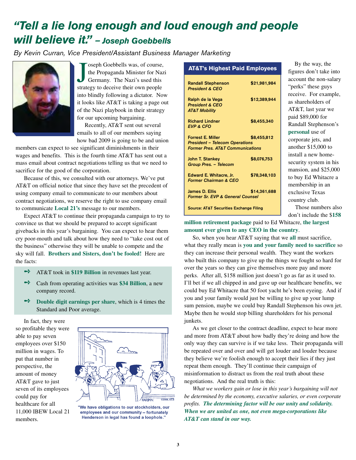# *"Tell a lie long enough and loud enough and people will believe it." — Joseph Goebbells*

*By Kevin Curran, Vice President/Assistant Business Manager Marketing*



Joseph Goebbells was, of course<br>the Propaganda Minister for Na<br>Germany. The Nazi's used this<br>strategy to deceive their own people oseph Goebbells was, of course, the Propaganda Minister for Nazi Germany. The Nazi's used this into blindly following a dictator. Now it looks like AT&T is taking a page out of the Nazi playbook in their strategy for our upcoming bargaining.

Recently, AT&T sent out several emails to all of our members saying how bad 2009 is going to be and union

members can expect to see significant diminishments in their wages and benefits. This is the fourth time AT&T has sent out a mass email about contract negotiations telling us that we need to sacrifice for the good of the corporation.

Because of this, we consulted with our attorneys. We've put AT&T on official notice that since they have set the precedent of using company email to communicate to our members about contract negotiations, we reserve the right to use company email to communicate **Local 21's** message to our members.

Expect AT&T to continue their propaganda campaign to try to convince us that we should be prepared to accept significant givebacks in this year's bargaining. You can expect to hear them cry poor-mouth and talk about how they need to "take cost out of the business" otherwise they will be unable to compete and the sky will fall. **Brothers and Sisters, don't be fooled!** Here are the facts:

- **→** AT&T took in \$119 Billion in revenues last year.
- ➺ Cash from operating activities was **\$34 Billion**, <sup>a</sup> new company record.
- ➺ **Double digit earnings per share**, which is 4 times the Standard and Poor average.

In fact, they were so profitable they were able to pay seven employees over \$150 million in wages. To put that number in perspective, the amount of money AT&T gave to just seven of its employees could pay for healthcare for all 11,000 IBEW Local 21 members.



"We have obligations to our stockholders, our employees and our community -- fortunately Henderson in legal has found a loophole."

#### **AT&T's Highest Paid Employees**

| <b>Randall Stephenson</b><br><b>President &amp; CEO</b>                                                          | \$21,981,984 |  |  |  |
|------------------------------------------------------------------------------------------------------------------|--------------|--|--|--|
| Ralph de la Vega<br><b>President &amp; CEO</b><br><b>AT&amp;T Mobility</b>                                       | \$12,389,944 |  |  |  |
| <b>Richard Lindner</b><br><b>EVP &amp; CFO</b>                                                                   | \$8,455,340  |  |  |  |
| <b>Forrest E. Miller</b><br><b>President - Telecom Operations</b><br><b>Former Pres. AT&amp;T Communications</b> | \$8,455,812  |  |  |  |
| <b>John T. Stankey</b><br>Group Pres. - Telecom                                                                  | \$8,076,753  |  |  |  |
| Edward E. Whitacre, Jr.<br><b>Former Chairman &amp; CEO</b>                                                      | \$78,348,103 |  |  |  |
| James D. Ellis<br><b>Former Sr. EVP &amp; General Counsel</b>                                                    | \$14,361,688 |  |  |  |
| <b>Source: AT&amp;T Securities Exchange Filing</b>                                                               |              |  |  |  |

By the way, the figures don't take into account the non-salary "perks" these guys receive. For example, as shareholders of AT&T, last year we paid \$89,000 for Randall Stephenson's **personal** use of corporate jets, and another \$15,000 to install a new homesecurity system in his mansion, and \$25,000 to buy Ed Whitacre a membership in an exclusive Texas country club.

Those numbers also don't include the \$**158**

**million retirement package** paid to Ed Whitacre, **the largest amount ever given to any CEO in the country**.

So, when you hear AT&T saying that we **all** must sacrifice, what they really mean is **you and your family need to sacrifice** so they can increase their personal wealth. They want the workers who built this company to give up the things we fought so hard for over the years so they can give themselves more pay and more perks. After all, \$158 million just doesn't go as far as it used to. I'll bet if we all chipped in and gave up our healthcare benefits, we could buy Ed Whitacre that 50 foot yacht he's been eyeing. And if you and your family would just be willing to give up your lump sum pension, maybe we could buy Randall Stephenson his own jet. Maybe then he would stop billing shareholders for his personal junkets.

As we get closer to the contract deadline, expect to hear more and more from AT&T about how badly they're doing and how the only way they can survive is if we take less. Their propaganda will be repeated over and over and will get louder and louder because they believe we're foolish enough to accept their lies if they just repeat them enough. They'll continue their campaign of misinformation to distract us from the real truth about these negotiations. And the real truth is this:

*What we workers gain or lose in this year's bargaining will not be determined by the economy, executive salaries, or even corporate profits. The determining factor will be our unity and solidarity. When we are united as one, not even mega-corporations like AT&T can stand in our way.*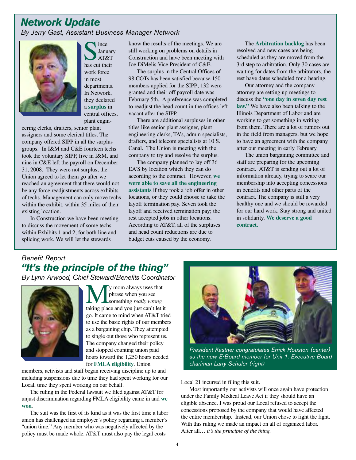# *Network Update*

*By Jerry Gast, Assistant Business Manager Network*



Since<br>
Manuar<br>
has cut their **January** AT&T work force in most departments. In Network, they declared a **surplus** in central offices, plant engin-

eering clerks, drafters, senior plant assigners and some clerical titles. The company offered SIPP in all the surplus groups. In I&M and C&E fourteen techs took the voluntary SIPP, five in I&M, and nine in C&E left the payroll on December 31, 2008. They were not surplus; the Union agreed to let them go after we reached an agreement that there would not be any force readjustments across exhibits of techs. Management can only move techs within the exhibit, within 35 miles of their existing location.

In Construction we have been meeting to discuss the movement of some techs within Exhibits 1 and 2, for both line and splicing work. We will let the stewards

know the results of the meetings. We are still working on problems on details in Construction and have been meeting with Joe DiMelis Vice President of C&E.

The surplus in the Central Offices of 98 COTs has been satisfied because 150 members applied for the SIPP; 132 were granted and their off payroll date was February 5th. A preference was completed to readjust the head count in the offices left vacant after the SIPP.

There are additional surpluses in other titles like senior plant assigner, plant engineering clerks, TA's, admin specialists, drafters, and telecom specialists at 10 S. Canal. The Union is meeting with the company to try and resolve the surplus.

The company planned to lay off 36 EA'S by location which they can do according to the contract. However, **we were able to save all the engineering assistants** if they took a job offer in other locations, or they could choose to take the layoff termination pay. Seven took the layoff and received termination pay; the rest accepted jobs in other locations. According to AT&T, all of the surpluses and head count reductions are due to budget cuts caused by the economy.

The **Arbitration backlog** has been resolved and new cases are being scheduled as they are moved from the 3rd step to arbitration. Only 30 cases are waiting for dates from the arbitrators, the rest have dates scheduled for a hearing.

Our attorney and the company attorney are setting up meetings to discuss the **"one day in seven day rest law."** We have also been talking to the Illinois Department of Labor and are working to get something in writing from them. There are a lot of rumors out in the field from managers, but we hope to have an agreement with the company after our meeting in early February.

The union bargaining committee and staff are preparing for the upcoming contract. AT&T is sending out a lot of information already, trying to scare our membership into accepting concessions in benefits and other parts of the contract. The company is still a very healthy one and we should be rewarded for our hard work. Stay strong and united in solidarity. **We deserve a good contract.**

### *Benefit Report "It's the principle of the thing"*

*By Lynn Arwood, Chief Steward/Benefits Coordinator* 



y mom always uses that phrase when you see something *really wrong* taking place and you just can't let it go. It came to mind when AT&T tried to use the basic rights of our members as a bargaining chip. They attempted to single out those who represent us. The company changed their policy and stopped counting union paid hours toward the 1,250 hours needed for **FMLA eligibility**. Union

members, activists and staff began receiving discipline up to and including suspensions due to time they had spent working for our Local, time they spent working on our behalf.

The ruling in the Federal lawsuit we filed against AT&T for unjust discrimination regarding FMLA eligibility came in and **we won**.

The suit was the first of its kind as it was the first time a labor union has challenged an employer's policy regarding a member's "union time." Any member who was negatively affected by the policy must be made whole. AT&T must also pay the legal costs



*President Kastner congratulates Errick Houston (center) as the new E-Board member for Unit 1. Executive Board chariman Larry Schuler (right)*

Local 21 incurred in filing this suit.

Most importantly our activists will once again have protection under the Family Medical Leave Act if they should have an eligible absence. I was proud our Local refused to accept the concessions proposed by the company that would have affected the entire membership. Instead, our Union chose to fight the fight. With this ruling we made an impact on all of organized labor. After all… *it's the principle of the thing.*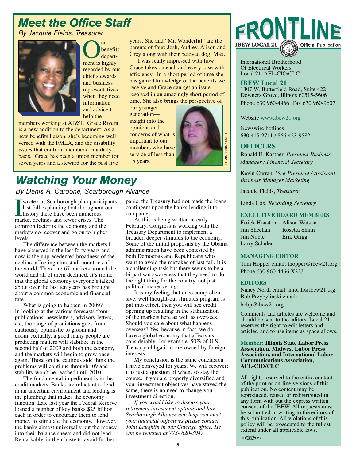# *Meet the Office Staff*

*By Jacquie Fields, Treasurer*



Our<br>
Ment is highly benefits departregarded by our chief stewards and business representatives when they need information and advice to help the

members working at AT&T. Grace Rivera is a new addition to the department. As a new benefits liaison, she's becoming well versed with the FMLA, and the disability issues that confront members on a daily basis. Grace has been a union member for seven years and a steward for the past five years. She and "Mr. Wonderful" are the parents of four: Josh, Audrey, Alison and Grey along with their beloved dog, Max.

I was really impressed with how Grace takes on each and every case with efficiency. In a short period of time she has gained knowledge of the benefits we receive and Grace can get an issue resolved in an amazingly short period of time. She also brings the perspective of

our younger generation insight into the opinions and concerns of what is important to our members who have service of less than



### *Watching Your Money By Denis A. Cardone, Scarborough Alliance*

wrote our Scarborough plan participants

I wrote our Scarborough plan partic<br>last fall explaining that throughout<br>history there have been numerous<br>market declines and fewer crises. The last fall explaining that throughout our history there have been numerous common factor is the economy and the markets do recover and go on to higher levels.

The difference between the markets I have observed in the last forty years and now is the unprecedented broadness of the decline, affecting almost all countries of the world. There are 67 markets around the world and all of them declined. It's ironic that the global economy everyone's talked about over the last ten years has brought about a common economic and financial fate.

What is going to happen in 2009? In looking at the various forecasts from publications, newsletters, advisory letters, etc, the range of predictions goes from cautiously optimistic to gloom and doom. Actually, a good many people are predicting matters will stabilize in the second half of 2009 and both the economy and the markets will begin to grow once again. Those on the cautious side think the problems will continue through '09 and stability won't be reached until 2010.

The fundamental impediment is in the credit markets. Banks are reluctant to lend in an uncertain environment and lending is the plumbing that makes the economy function. Late last year the Federal Reserve loaned a number of key banks \$25 billion each in order to encourage them to lend money to stimulate the economy. However, the banks almost universally put the money into their balance sheets and did not lend. Remarkably, in their haste to avoid further

panic, the Treasury had not made the loans contingent upon the banks lending it to companies.

As this is being written in early February, Congress is working with the Treasury Department to implement a broader, deeper stimulus to the economy. Some of the initial proposals by the Obama administration have been contested by both Democrats and Republicans who want to avoid the mistakes of last fall. It is a challenging task but there seems to be a bi-partisan awareness that they need to do the right thing for the country, not just political maneuvering.

It is my feeling that once comprehensive, well thought-out stimulus program is put into effect, then you will see credit opening up resulting in the stabilization of the markets here as well as oversees. Should you care about what happens overseas? Yes, because in fact, we do have a global economy that affects us considerably. For example, 50% of U.S. Treasury obligations are owned by foreign interests.

My conclusion is the same conclusion I have conveyed for years. We will recover; it is just a question of when, so stay the course. If you are properly diversified and your investment objectives have stayed the same, there is no need to change your investment direction.

*If you would like to discuss your retirement investment options and how Scarborough Alliance can help you meet your financial objectives please contact John Laughlin in our Chicago office. He can be reached at 773- 620-3047.*



International Brotherhood Of Electrical Workers Local 21, AFL-CIO/CLC

**IBEW Local 21** 1307 W. Butterfield Road, Suite 422 Downers Grove, Illinois 60515-5606 Phone 630 960-4466 Fax 630 960-9607

Website www.ibew21.org

Newswire hotlines 630 415-2711 / 866 423-9582

#### **OFFICERS**

Ronald E. Kastner, *President-Business Manager / Financial Secretary*

Kevin Curran, *Vice-President / Assistant Business Manager Marketing*

Jacquie Fields, *Treasurer*

Linda Cox, *Recording Secretary*

#### **EXECUTIVE BOARD MEMBERS**

| Errick Houston | Alison Watson |
|----------------|---------------|
| Jim Sheehan    | Rosetta Shinn |
| Jim Noble      | Erik Grigg    |
| Larry Schuler  |               |

#### **MANAGING EDITOR**

Tom Hopper email: thopper@ibew21.org Phone 630 960-4466 X223

#### **EDITORS**

Nancy North email: nnorth@ibew21.org Bob Przybylinski email: bobp@ibew21.org

Comments and articles are welcome and should be sent to the editors. Local 21 reserves the right to edit letters and articles, and to use items as space allows.

#### **Member: Illinois State Labor Press Association, Midwest Labor Press Association, and International Labor Communications Association, AFL-CIO/CLC**

All rights reserved to the entire content of the print or on-line versions of this publication. No content may be reproduced, reused or redistributed in any form with out the express written consent of the IBEW. All requests must be submitted in writing to the editors of this publication. All violations of this policy will be prosecuted to the fullest extend under all applicable laws.

 $\circ$  CGCIU  $\Rightarrow$  278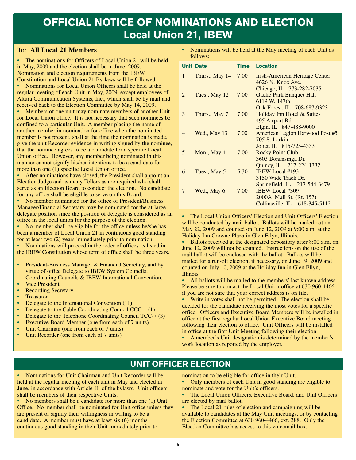# **OFFICIAL NOTICE OF NOMINATIONS AND ELECTION Local Union 21, IBEW**

#### To: **All Local 21 Members**

**•** The nominations for Officers of Local Union 21 will be held in May, 2009 and the election shall be in June, 2009. Nomination and election requirements from the IBEW Constitution and Local Union 21 By-laws will be followed.

**•** Nominations for Local Union Officers shall be held at the regular meeting of each Unit in May, 2009, except employees of Altura Communication Systems, Inc., which shall be by mail and received back to the Election Committee by May 14, 2009.

**•** Members of one unit may nominate members of another Unit for Local Union office. It is not necessary that such nominees be confined to a particular Unit. A member placing the name of another member in nomination for office when the nominated member is not present, shall at the time the nomination is made, give the unit Recorder evidence in writing signed by the nominee, that the nominee agrees to be a candidate for a specific Local Union office. However, any member being nominated in this manner cannot signify his/her intentions to be a candidate for more than one (1) specific Local Union office.

**•** After nominations have closed, the President shall appoint an Election Judge and as many Tellers as are required who shall serve as an Election Board to conduct the election. No candidate for any office shall be eligible to serve on this Board.

**•** No member nominated for the office of President/Business Manager/Financial Secretary may be nominated for the at-large delegate position since the position of delegate is considered as an office in the local union for the purpose of the election.

**•** No member shall be eligible for the office unless he/she has been a member of Local Union 21 in continuous good standing for at least two (2) years immediately prior to nomination.

**•** Nominations will proceed in the order of offices as listed in the IBEW Constitution whose term of office shall be three years.

- **•** President-Business Manager & Financial Secretary, and by virtue of office Delegate to IBEW System Councils, Coordinating Councils & IBEW International Convention.
- **•** Vice President
- **•** Recording Secretary
- **•** Treasurer
- Delegate to the International Convention (11)
- Delegate to the Cable Coordinating Council CCC-1 (1)
- Delegate to the Telephone Coordinating Council TCC-7 (3)
- **•** Executive Board Member (one from each of 7 units)
- **•** Unit Chairman (one from each of 7 units)
- **•** Unit Recorder (one from each of 7 units)

**•** Nominations will be held at the May meeting of each Unit as follows:

|                | <b>Unit Date</b> | Time       | <b>Location</b>                                                                                                     |
|----------------|------------------|------------|---------------------------------------------------------------------------------------------------------------------|
| $\mathbf{1}$   | Thurs., May 14   | $7:00^{-}$ | Irish-American Heritage Center<br>4626 N. Knox Ave.                                                                 |
| 2              | Tues., May 12    | 7:00       | Chicago, IL 773-282-7035<br><b>Gaelic Park Banquet Hall</b><br>6119 W. 147th                                        |
| 3              | Thurs., May 7    | 7:00       | Oak Forest, IL 708-687-9323<br>Holiday Inn Hotel & Suites<br>495 Airport Rd.                                        |
| $\overline{4}$ | Wed., May 13     | 7:00       | Elgin, IL 847-488-9000<br>American Legion Harwood Post #5<br>705 S. Larkin                                          |
| 5              | Mon., May 4      | 7:00       | Joliet, IL 815-725-4333<br><b>Rocky Point Club</b><br>3603 Bonansinga Dr.                                           |
| 6              | Tues., May 5     | 5:30       | Quincy, IL 217-224-1332<br><b>IBEW Local #193</b><br>3150 Wide Track Dr.                                            |
| 7              | Wed., May 6      | 7:00       | Springfield, IL 217-544-3479<br><b>IBEW Local #309</b><br>2000A Mall St. (Rt. 157)<br>Collinsville, IL 618-345-5112 |

**•** The Local Union Officers' Election and Unit Officers' Election will be conducted by mail ballot. Ballots will be mailed out on May 22, 2009 and counted on June 12, 2009 at 9:00 a.m. at the Holiday Inn Crowne Plaza in Glen Ellyn, Illinois.

**•** Ballots received at the designated depository after 8:00 a.m. on June 12, 2009 will not be counted. Instructions on the use of the mail ballot will be enclosed with the ballot. Ballots will be mailed for a run-off election, if necessary, on June 19, 2009 and counted on July 10, 2009 at the Holiday Inn in Glen Ellyn, Illinois.

• All ballots will be mailed to the members' last known address. Please be sure to contact the Local Union office at 630 960-4466 if you are not sure that your correct address is on file.

**•** Write in votes shall not be permitted. The election shall be decided for the candidate receiving the most votes for a specific office. Officers and Executive Board Members will be installed in office at the first regular Local Union Executive Board meeting following their election to office. Unit Officers will be installed in office at the first Unit Meeting following their election.

**•** A member's Unit designation is determined by the member's work location as reported by the employer.

### **UNIT OFFICER ELECTION**

**•** Nominations for Unit Chairman and Unit Recorder will be held at the regular meeting of each unit in May and elected in June, in accordance with Article III of the bylaws. Unit officers shall be members of their respective Units.

**•** No members shall be a candidate for more than one (1) Unit Office. No member shall be nominated for Unit office unless they are present or signify their willingness in writing to be a candidate. A member must have at least six (6) months continuous good standing in their Unit immediately prior to

nomination to be eligible for office in their Unit.

**•** Only members of each Unit in good standing are eligible to nominate and vote for the Unit's officers.

**•** The Local Union Officers, Executive Board, and Unit Officers are elected by mail ballot.

**•** The Local 21 rules of election and campaigning will be available to candidates at the May Unit meetings, or by contacting the Election Committee at 630 960-4466, ext. 388. Only the Election Committee has access to this voicemail box.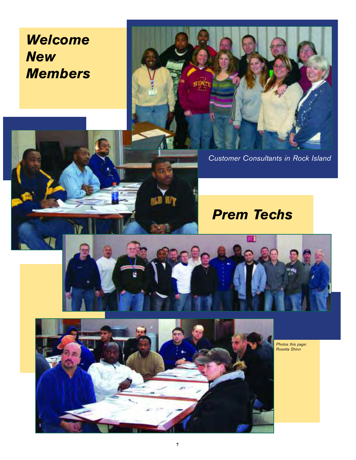# *Welcome New Members*



*Customer Consultants in Rock Island*

# *Prem Techs*





植意

*Photos this page: Rosetta Shinn*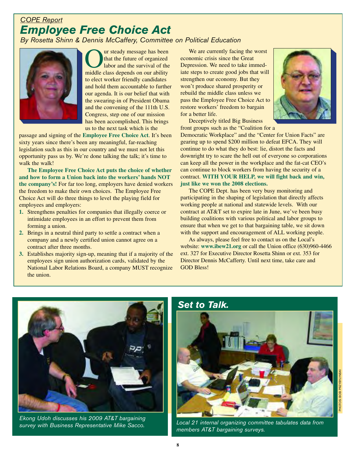# *COPE Report Employee Free Choice Act*

### *By Rosetta Shinn & Dennis McCaffery, Committee on Political Education*



**Our steady message has been**<br>that the future of organized<br>labor and the survival of the<br>middle class depends on our ability that the future of organized labor and the survival of the middle class depends on our ability to elect worker friendly candidates and hold them accountable to further our agenda. It is our belief that with the swearing-in of President Obama and the convening of the 111th U.S. Congress, step one of our mission has been accomplished. This brings us to the next task which is the

passage and signing of the **Employee Free Choice Act**. It's been sixty years since there's been any meaningful, far-reaching legislation such as this in our country and we must not let this opportunity pass us by. We're done talking the talk; it's time to walk the walk!

**The Employee Free Choice Act puts the choice of whether and how to form a Union back into the workers' hands NOT the company's!** For far too long, employers have denied workers the freedom to make their own choices. The Employee Free Choice Act will do three things to level the playing field for employees and employers:

- **1.** Strengthens penalties for companies that illegally coerce or intimidate employees in an effort to prevent them from forming a union.
- **2.** Brings in a neutral third party to settle a contract when a company and a newly certified union cannot agree on a contract after three months.
- **3.** Establishes majority sign-up, meaning that if a majority of the employees sign union authorization cards, validated by the National Labor Relations Board, a company MUST recognize the union.

We are currently facing the worst economic crisis since the Great Depression. We need to take immediate steps to create good jobs that will strengthen our economy. But they won't produce shared prosperity or rebuild the middle class unless we pass the Employee Free Choice Act to restore workers' freedom to bargain for a better life.



Deceptively titled Big Business front groups such as the "Coalition for a

Democratic Workplace" and the "Center for Union Facts" are gearing up to spend \$200 million to defeat EFCA. They will continue to do what they do best: lie, distort the facts and downright try to scare the hell out of everyone so corporations can keep all the power in the workplace and the fat-cat CEO's can continue to block workers from having the security of a contract. **WITH YOUR HELP, we will fight back and win, just like we won the 2008 elections.**

The COPE Dept. has been very busy monitoring and participating in the shaping of legislation that directly affects working people at national and statewide levels. With our contract at AT&T set to expire late in June, we've been busy building coalitions with various political and labor groups to ensure that when we get to that bargaining table, we sit down with the support and encouragement of ALL working people.

As always, please feel free to contact us on the Local's website: **www.ibew21.org** or call the Union office (630)960-4466 ext. 327 for Executive Director Rosetta Shinn or ext. 353 for Director Dennis McCafferty. Until next time, take care and GOD Bless!



*Ekong Udoh discusses his 2009 AT&T bargaining survey with Business Representative Mike Sacco.* 

### *Set to Talk.*



*Local 21 internal organizing committee tabulates data from members AT&T bargaining surveys.*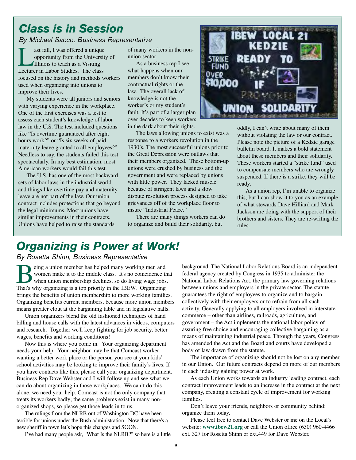# *Class is in Session*

*By Michael Sacco, Business Representative*

Last fall, I was offered a unique<br>opportunity from the Universit<br>Illinois to teach as a Visiting<br>Lecturer in Labor Studies. The class opportunity from the University of Illinois to teach as a Visiting focused on the history and methods workers used when organizing into unions to improve their lives.

My students were all juniors and seniors with varying experience in the workplace. One of the first exercises was a test to assess each student's knowledge of labor law in the U.S. The test included questions like "Is overtime guaranteed after eight hours work?" or "Is six weeks of paid maternity leave granted to all employees?" Needless to say, the students failed this test spectacularly. In my best estimation, most American workers would fail this test.

The U.S. has one of the most backward sets of labor laws in the industrial world and things like overtime pay and maternity leave are not part of the law. Our union contract includes protections that go beyond the legal minimums. Most unions have similar improvements in their contracts. Unions have helped to raise the standards

of many workers in the nonunion sector.

As a business rep I see what happens when our members don't know their contractual rights or the law. The overall lack of knowledge is not the worker's or my student's fault. It's part of a larger plan over decades to keep workers in the dark about their rights.

The laws allowing unions to exist was a response to a workers revolution in the 1930's. The most successful unions prior to the Great Depression were outlaws that their members organized. These bottom-up unions were crushed by business and the government and were replaced by unions with little power. They lacked muscle because of stringent laws and a slow dispute resolution process designed to take grievances off of the workplace floor to insure "Industrial Peace."

There are many things workers can do to organize and build their solidarity, but



oddly, I can't write about many of them without violating the law or our contract. Please note the picture of a Kedzie garage bulletin board. It makes a bold statement about these members and their solidarity. These workers started a "strike fund" used to compensate members who are wrongly suspended. If there is a strike, they will be ready.

As a union rep, I'm unable to organize this, but I can show it to you as an example of what stewards Dave Hilliard and Mark Jackson are doing with the support of their brothers and sisters. They are re-writing the rules.

# *Organizing is Power at Work!*

*By Rosetta Shinn, Business Representative*

**Being a union member has helped many working men and<br>women make it to the middle class. It's no coincidence to<br>when union membership declines, so do living wage jobs<br>That's why organizing is a top priority in the IREW.** O women make it to the middle class. It's no coincidence that when union membership declines, so do living wage jobs. That's why organizing is a top priority in the IBEW. Organizing brings the benefits of union membership to more working families. Organizing benefits current members, because more union members means greater clout at the bargaining table and in legislative halls.

Union organizers blend the old fashioned techniques of hand billing and house calls with the latest advances in videos, computers and research. Together we'll keep fighting for job security, better wages, benefits and working conditions!

Now this is where you come in. Your organizing department needs your help. Your neighbor may be that Comcast worker wanting a better work place or the person you see at your kids' school activities may be looking to improve their family's lives. If you have contacts like this, please call your organizing department. Business Rep Dave Webster and I will follow up and see what we can do about organizing in those workplaces. We can't do this alone, we need your help. Comcast is not the only company that treats its workers badly; the same problems exist in many nonorganized shops, so please get those leads in to us.

The rulings from the NLRB out of Washington DC have been terrible for unions under the Bush administration. Now that there's a new sheriff in town let's hope this changes and SOON.

I've had many people ask, "What Is the NLRB?" so here is a little

background. The National Labor Relations Board is an independent federal agency created by Congress in 1935 to administer the National Labor Relations Act, the primary law governing relations between unions and employers in the private sector. The statute guarantees the right of employees to organize and to bargain collectively with their employers or to refrain from all such activity. Generally applying to all employers involved in interstate commerce – other than airlines, railroads, agriculture, and government – the Act implements the national labor policy of assuring free choice and encouraging collective bargaining as a means of maintaining industrial peace. Through the years, Congress has amended the Act and the Board and courts have developed a body of law drawn from the statute.

The importance of organizing should not be lost on any member in our Union. Our future contracts depend on more of our members in each industry gaining power at work.

As each Union works towards an industry leading contract, each contract improvement leads to an increase in the contract at the next company, creating a constant cycle of improvement for working families.

Don't leave your friends, neighbors or community behind; organize them today.

Please feel free to contact Dave Webster or me on the Local's website: **www.ibew21.org** or call the Union office (630) 960-4466 ext. 327 for Rosetta Shinn or ext.449 for Dave Webster.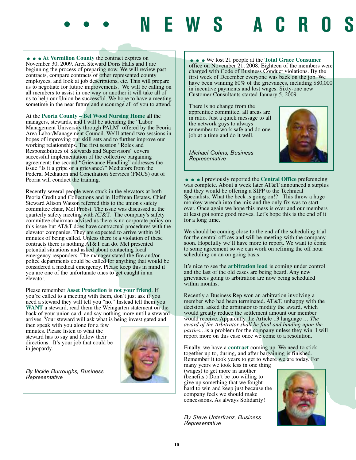• • **At Vermilion County** the contract expires on November 30, 2009. Area Steward Doris Halls and I are beginning the process of preparing now. We will review past contracts, compare contracts of other represented county employees, and look at job descriptions, etc. This will prepare us to negotiate for future improvements. We will be calling on all members to assist in one way or another it will take all of us to help our Union be successful. We hope to have a meeting sometime in the near future and encourage all of you to attend.

At the **Peoria County – Bel Wood Nursing Home** all the managers, stewards, and I will be attending the "Labor Management University through PALM" offered by the Peoria Area Labor/Management Council. We'll attend two sessions in hopes of improving our skill sets and to further improve our working relationships. The first session "Roles and Responsibilities of Stewards and Supervisors" covers successful implementation of the collective bargaining agreement; the second "Grievance Handling" addresses the issue "Is it a gripe or a grievance?" Mediators from the Federal Mediation and Conciliation Services (FMCS) out of Peoria will conduct the training.

Recently several people were stuck in the elevators at both Peoria Credit and Collections and in Hoffman Estates. Chief Steward Alison Watson referred this to the union's safety committee chair, Mel Probst. The issue was discussed at the quarterly safety meeting with AT&T. The company's safety committee chairman advised us there is no corporate policy on this issue but AT&T does have contractual procedures with the elevator companies. They are expected to arrive within 60 minutes of being called. Unless there is a violation of these contracts there is nothing AT&T can do. Mel presented potential situations and asked about contacting local emergency responders. The manager stated the fire and/or police departments could be called for anything that would be considered a medical emergency. Please keep this in mind if you are one of the unfortunate ones to get caught in an elevator.

Please remember **Asset Protection** is **not your friend**. If you're called to a meeting with them, don't just ask if you need a steward they will tell you "no." Instead tell them you **WANT** a steward, read them the Weingarten statement on the back of your union card, and say nothing more until a steward arrives. Your steward will ask what is being investigated and

then speak with you alone for a few minutes. Please listen to what the steward has to say and follow their directions. It's your job that could be in jeopardy.



*By Vickie Burroughs, Business Representative*

...We lost 21 people at the **Total Grace Consumer** office on November 21, 2008. Eighteen of the members were charged with Code of Business Conduct violations. By the first week of December everyone was back on the job. We have been winning 80% of the grievances, including \$80,000 in incentive payments and lost wages. Sixty-one new Customer Consultants started January 5, 2009.

There is no change from the apprentice committee, all areas are in ratio. Just a quick message to all the network guys to always remember to work safe and do one job at a time and do it well.



•••• NEWS ACROS

*Michael Cohns, Business Representative*

...I previously reported the **Central Office** preferencing was complete. About a week later AT&T announced a surplus and they would be offering a SIPP to the Technical Specialists. What the heck is going on!? This threw a huge monkey wrench into the mix and the only fix was to start over. Once again we hope this mess is over and our members at least got some good moves. Let's hope this is the end of it for a long time.

We should be coming close to the end of the scheduling trial for the central offices and will be meeting with the company soon. Hopefully we'll have more to report. We want to come to some agreement so we can work on refining the off hour scheduling on an on going basis.

It's nice to see the **arbitration load** is coming under control and the last of the old cases are being heard. Any new grievances going to arbitration are now being scheduled within months.

Recently a Business Rep won an arbitration involving a member who had been terminated. AT&T, unhappy with the decision, asked the arbitrator to modify the award, which would greatly reduce the settlement amount our member would receive. Apparently the Article 13 language *….The award of the Arbitrator shall be final and binding upon the parties…*is a problem for the company unless they win. I will report more on this case once we come to a resolution.

Finally, we have a **contract** coming up. We need to stick together up to, during, and after bargaining is finished. Remember it took years to get to where we are today. For

many years we took less in one thing (wages) to get more in another (benefits.) Don't be too willing to give up something that we fought hard to win and keep just because the company feels we should make concessions. As always Solidarity!

*By Steve Unterfranz, Business Representative*

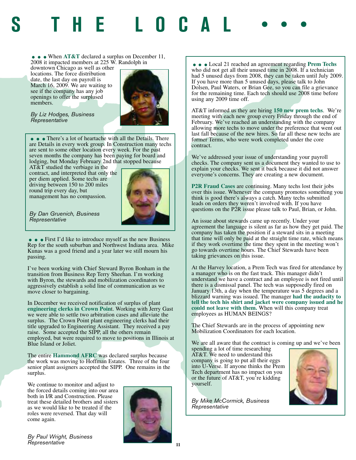# **S THE LOCAL •••**

• • When AT&T declared a surplus on December 11, 2008 it impacted members at 225 W. Randolph in

downtown Chicago as well as other locations. The force distribution date, the last day on payroll is March 16, 2009. We are waiting to see if the company has any job openings to offer the surplused members.



*By Liz Hodges, Business Representative*

• • There's a lot of heartache with all the Details. There are Details in every work group. In Construction many techs are sent to some other location every week. For the past seven months the company has been paying for board and lodging, but Monday February 2nd that stopped because

AT&T studied the verbiage in the contract, and interpreted that only the per diem applied. Some techs are driving between 150 to 200 miles round trip every day, but management has no compassion.



*By Dan Gruenich, Business Representative*

• • First I'd like to introduce myself as the new Business Rep for the south suburban and Northwest Indiana area. Mike Kunas was a good friend and a year later we still mourn his passing.

I've been working with Chief Steward Byron Bonham in the transition from Business Rep Terry Sheehan. I'm working with Byron, the stewards and mobilization coordinators to aggressively establish a solid line of communication as we move closer to bargaining.

In December we received notification of surplus of plant **engineering clerks in Crown Poin**t. Working with Jerry Gast we were able to settle two arbitration cases and alleviate the surplus. The Crown Point plant engineering clerks had their title upgraded to Engineering Assistant. They received a pay raise. Some accepted the SIPP, all the others remain employed, but were required to move to positions in Illinois at Blue Island or Joliet.

The entire **Hammond AFRC** was declared surplus because the work was moving to Hoffman Estates. Three of the four senior plant assigners accepted the SIPP. One remains in the surplus.

We continue to monitor and adjust to the forced details coming into our area both in I/R and Construction. Please treat these detailed brothers and sisters as we would like to be treated if the roles were reversed. That day will come again.



*By Paul Wright, Business Representative*

• • Local 21 reached an agreement regarding **Prem Techs** who did not get all their unused time in 2008. If a technician had 5 unused days from 2008, they can be taken until July 2009. If you have more than 5 unused days, please talk to John Dolsen, Paul Waters, or Brian Gee, so you can file a grievance for the remaining time. Each tech should use 2008 time before using any 2009 time off.

AT&T informed us they are hiring **150 new prem techs**. We're meeting with each new group every Friday through the end of February. We've reached an understanding with the company allowing more techs to move under the preference that went out last fall because of the new hires. So far all these new techs are former Terms, who were work completed under the core contract.

We've addressed your issue of understanding your payroll checks. The company sent us a document they wanted to use to explain your checks. We sent it back because it did not answer everyone's concerns. They are creating a new document.

**P2R Fraud Cases** are continuing. Many techs lost their jobs over this issue. Whenever the company promotes something you think is good there's always a catch. Many techs submitted leads on orders they weren't involved with. If you have questions on the P2R issue please talk to Paul, Brian, or John.

An issue about stewards came up recently. Under your agreement the language is silent as far as how they get paid. The company has taken the position if a steward sits in a meeting that time will only be paid at the straight time rate, which means if they work overtime the time they spent in the meeting won't go towards overtime hours. The Chief Stewards have been taking grievances on this issue.

At the Harvey location, a Prem Tech was fired for attendance by a manager who is on the fast track. This manager didn't understand we have a contract and an employee is not fired until there is a dismissal panel. The tech was supposedly fired on January 13th, a day when the temperature was 5 degrees and a blizzard warning was issued. The manager **had the audacity to tell the tech his shirt and jacket were company issued and he could not leave with them.** When will this company treat employees as HUMAN BEINGS?

The Chief Stewards are in the process of appointing new Mobilization Coordinators for each location.

We are all aware that the contract is coming up and we've been

spending a lot of time researching AT&T. We need to understand this company is going to put all their eggs into U-Verse. If anyone thinks the Prem Tech department has no impact on you or the future of AT&T, you're kidding yourself.



*By Mike McCormick, Business Representative*

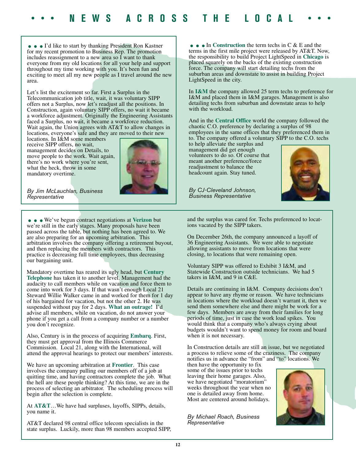• • I'd like to start by thanking President Ron Kastner for my recent promotion to Business Rep. The promotion includes reassignment to a new area so I want to thank everyone from my old locations for all your help and support throughout my time working with you. It's been fun and exciting to meet all my new people as I travel around the new area.

Let's list the excitement so far. First a Surplus in the Telecommunication job title, wait, it was voluntary SIPP offers not a Surplus, now let's readjust all the positions. In Construction, again voluntary SIPP offers, no wait it became a workforce adjustment. Originally the Engineering Assistants faced a Surplus, no wait, it became a workforce reduction. Wait again, the Union agrees with AT&T to allow changes in locations, everyone's safe and they are moved to their new

locations. In I&M some members receive SIPP offers, no wait, management decides on Details, to move people to the work. Wait again, there's no work where you're sent, what the heck, throw in some mandatory overtime.



*By Jim McLauchlan, Business Representative*

...We've begun contract negotiations at **Verizon** but we're still in the early stages. Many proposals have been passed across the table, but nothing has been agreed to. We are also preparing for an upcoming arbitration. This arbitration involves the company offering a retirement buyout, and then replacing the members with contractors. This practice is decreasing full time employees, thus decreasing our bargaining unit.

Mandatory overtime has reared its ugly head, but **Century Telephone** has taken it to another level. Management had the audacity to call members while on vacation and force them to come into work for 3 days. If that wasn't enough Local 21 Steward Willie Walker came in and worked for them for 1 day of his bargained for vacation, but not the other 2. He was suspended without pay for 2 days. **What an outrage!** I'd advise all members, while on vacation, do not answer your phone if you get a call from a company number or a number you don't recognize.

Also, Century is in the process of acquiring **Embarq**. First, they must get approval from the Illinois Commerce Commission. Local 21, along with the International, will attend the approval hearings to protect our members' interests.

We have an upcoming arbitration at **Frontier**. This case involves the company pulling our members off of a job at quitting time, and having contractors complete the job. What the hell are these people thinking? At this time, we are in the process of selecting an arbitrator. The scheduling process will begin after the selection is complete.

At **AT&T**…We have had surpluses, layoffs, SIPPs, details, you name it.

AT&T declared 98 central office telecom specialists in the state surplus. Luckily, more than 98 members accepted SIPP,

• • In Construction the term techs in C & E and the terms in the first mile project were released by AT&T. Now, the responsibility to build Project LightSpeed in **Chicago** is placed squarely on the backs of the existing construction force. The company will start detailing techs from the suburban areas and downstate to assist in building Project LightSpeed in the city.

In **I&M** the company allowed 25 term techs to preference for I&M and placed them in I&M garages. Management is also detailing techs from suburban and downstate areas to help with the workload.

And in the **Central Office** world the company followed the chaotic C.O. preference by declaring a surplus of 98 employees in the same offices that they preferenced them in to. The company offered a voluntary SIPP to the C.O. techs

to help alleviate the surplus and management did get enough volunteers to do so. Of course that meant another preference/force readjustment to balance the headcount again. Stay tuned.

*By CJ-Cleveland Johnson, Business Representative*



and the surplus was cared for. Techs preferenced to locations vacated by the SIPP takers.

On December 26th, the company announced a layoff of 36 Engineering Assistants. We were able to negotiate allowing assistants to move from locations that were closing, to locations that were remaining open.

Voluntary SIPP was offered to Exhibit 3 I&M, and Statewide Construction outside technicians. We had 5 takers in I&M, and 9 in C&E.

Details are continuing in I&M. Company decisions don't appear to have any rhyme or reason. We have technicians in locations where the workload doesn't warrant it, then we send them somewhere else and there might be work for a few days. Members are away from their families for long periods of time, just in case the work load spikes. You would think that a company who's always crying about budgets wouldn't want to spend money for room and board when it is not necessary.

In Construction details are still an issue, but we negotiated a process to relieve some of the craziness. The company notifies us in advance the "from" and "to" locations. We

then have the opportunity to fix some of the issues prior to techs leaving their home garages. Also, we have negotiated "moratorium" weeks throughout the year when no one is detailed away from home. Most are centered around holidays.

*By Michael Roach, Business Representative*

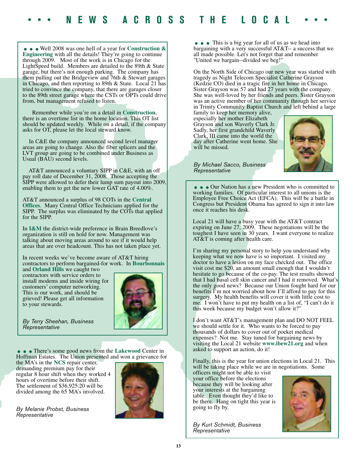**....**<br>Engineering with all the details! They're going to continue through 2009. Most of the work is in Chicago for the LightSpeed build. Members are detailed to the 89th & State garage, but there's not enough parking. The company has them pulling out the Bridgeview and 76th & Stewart garages in Chicago, and then reporting to 89th & State. Local 21 has tried to convince the company, that there are garages closer to the 89th street garage where the CSTs or OPTs could drive from, but management refused to listen.

Remember while you're on a detail in **Construction**, there is an overtime list in the home location. This OT list should be updated weekly. While on a detail, if the company asks for OT, please let the local steward know.

In C&E the company announced second level manager areas are going to change. Also the fiber splicers and the LVT group are going to be combined under Business as Usual (BAU) second levels.

AT&T announced a voluntary SIPP in C&E, with an off pay roll date of December 31, 2008. Those accepting the SIPP were allowed to defer their lump sum payout into 2009, enabling them to get the new lower GAT rate of 4.00%.

AT&T announced a surplus of 98 COTs in the **Central Offices**. Many Central Office Technicians applied for the SIPP. The surplus was eliminated by the COTs that applied for the SIPP.

In **I&M** the district-wide preference in Brain Breedlove's organization is still on hold for now. Management was talking about moving areas around to see if it would help areas that are over headcount. This has not taken place yet.

In recent weeks we've become aware of AT&T hiring contractors to perform bargained-for work. In **Bourbonnais**

and **Orland Hills** we caught two contractors with service orders to install modems and inside wiring for customers' computer networking. This is our work, and should be grieved! Please get all information to your stewards.



*By Terry Sheehan, Business Representative*

...There's some good news from the **Lakewood** Center in Hoffman Estates. The Union presented and won a grievance for

the MA's in the **NCS** repair center, demanding premium pay for their regular 8 hour shift when they worked 4 hours of overtime before their shift. The settlement of \$36,925.20 will be divided among the 65 MA's involved.

*By Melanie Probst, Business Representative*



• • This is a big year for all of us as we head into bargaining with a very successful AT&T-- a success that we all made possible. Let's not forget that and remember "United we bargain--divided we beg!"

On the North Side of Chicago our new year was started with tragedy as Night Telecom Specialist Catherine Grayson (Kedzie CO) died in a tragic fire in her home in Chicago. Sister Grayson was 57 and had 27 years with the company. She was well-loved by her friends and peers. Sister Grayson was an active member of her community through her service in Trinity Community Baptist Church and left behind a large

family to keep her memory alive, especially her mother Elizabeth Grayson and son Waverly Clark Jr. Sadly, her first grandchild Waverly Clark, III came into the world the day after Catherine went home. She will be missed.



*By Michael Sacco, Business Representative*

• • Our Nation has a new President who is committed to working families. Of particular interest to all unions is the Employee Free Choice Act (EFCA). This will be a battle in Congress but President Obama has agreed to sign it into law once it reaches his desk.

Local 21 will have a busy year with the AT&T contract expiring on June 27, 2009. These negotiations will be the toughest I have seen in 30 years. I want everyone to realize AT&T is coming after health care.

I'm sharing my personal story to help you understand why keeping what we now have is so important. I visited my doctor to have a lesion on my face checked out. The office visit cost me \$20, an amount small enough that I wouldn't hesitate to go because of the co-pay. The test results showed that I had basal cell skin cancer and I had it removed. What's the only good news? Because our Union fought hard for our benefits  $\overline{I}$  m not worried about how I'll afford to pay for this surgery. My health benefits will cover it with little cost to me. I won't have to put my health on a list of, "I can't do it this week because my budget won't allow it?"

I don't want AT&T's management plan and DO NOT FEEL we should settle for it. Who wants to be forced to pay thousands of dollars to cover out of pocket medical expenses? Not me. Stay tuned for bargaining news by visiting the Local 21 website **www.ibew21.org** and when asked to support an action, do it!

Finally, this is the year for union elections in Local 21. This will be taking place while we are in negotiations. Some

officers might not be able to visit your office before the elections because they will be looking after your interests at the bargaining table. Even thought they'd like to be there. Hang on tight this year is going to fly by.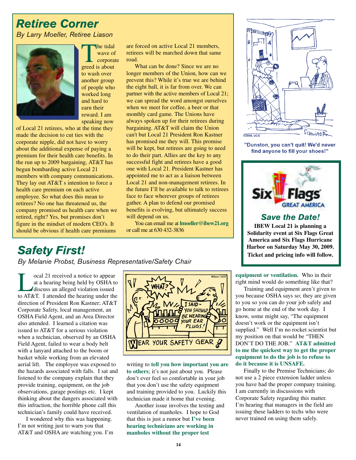# *Retiree Corner By Larry Moeller, Retiree Liason*



The tidal<br>
wave or<br>
corpora<br>
greed is about wave of corporate to wash over another group of people who worked long and hard to earn their reward. I am speaking now

of Local 21 retirees, who at the time they made the decision to cut ties with the corporate nipple, did not have to worry about the additional expense of paying a premium for their health care benefits. In the run up to 2009 bargaining, AT&T has begun bombarding active Local 21 members with company communications. They lay out AT&T s intention to force a health care premium on each active employee. So what does this mean to retirees? No one has threatened us, the company promised us health care when we retired, right? Yes, but promises don't figure in the mindset of modern CEO's. It should be obvious if health care premiums

are forced on active Local 21 members, retirees will be marched down that same road.

What can be done? Since we are no longer members of the Union, how can we prevent this? While it's true we are behind the eight ball, it is far from over. We can partner with the active members of Local 21; we can spread the word amongst ourselves when we meet for coffee, a beer or that monthly card game. The Unions have always spoken up for their retirees during bargaining. AT&T will claim the Union can't but Local 21 President Ron Kastner has promised me they will. This promise will be kept, but retirees are going to need to do their part. Allies are the key to any successful fight and retirees have a good one with Local 21. President Kastner has appointed me to act as a liaison between Local 21 and non-management retirees. In the future I'll be available to talk to retirees face to face wherever groups of retirees gather. A plan to defend our promised benefits is evolving, but ultimately success will depend on us.

You can email me at **lmoeller@ibew21.org** or call me at 630 432-3836

# *Safety First!*

*By Melanie Probst, Business Representative/Safety Chair*

cal 21 received a notice to appear<br>at a hearing being held by OSHA t<br>discuss an alleged violation issued<br>to AT&T. I attended the hearing under the at a hearing being held by OSHA to discuss an alleged violation issued to AT&T. I attended the hearing under the direction of President Ron Kastner; AT&T Corporate Safety, local management, an OSHA Field Agent, and an Area Director also attended. I learned a citation was issued to AT&T for a serious violation when a technician, observed by an OSHA Field Agent, failed to wear a body belt with a lanyard attached to the boom or basket while working from an elevated aerial lift. The employee was exposed to the hazards associated with falls. I sat and listened to the company explain that they provide training, equipment, on the job observations, garage postings etc. I kept thinking about the dangers associated with this infraction, the horrible phone call this technician's family could have received.

I wondered why this was happening. I'm not writing just to warn you that AT&T and OSHA are watching you. I'm



writing to **tell you how important you are to others**; it's not just about you. Please don't ever feel so comfortable in your job that you don't use the safety equipment and training provided to you. Luckily this technician made it home that evening.

Another issue involves the testing and ventilation of manholes. I hope to God that this is just a rumor but **I've been hearing technicians are working in manholes without the proper test**



"Dunston, you can't quit! We'd never find anyone to fill your shoes!"



#### *Save the Date!*

**IBEW Local 21 is planning a Solidarity event at Six Flags Great America and Six Flags Hurricane Harbor on Saturday May 30, 2009. Ticket and pricing info will follow.**

**equipment or ventilation.** Who in their right mind would do something like that?

Training and equipment aren't given to you because OSHA says so; they are given to you so you can do your job safely and go home at the end of the work day. I know, some might say, "The equipment doesn't work or the equipment isn't supplied." Well I'm no rocket scientist but my position on that would be "THEN DON'T DO THE JOB." **AT&T admitted to me the quickest way to get the proper equipment to do the job is to refuse to do it because it is UNSAFE.**

Finally to the Premise Technicians; do not use a 2 piece extension ladder unless you have had the proper company training. I am currently in discussions with Corporate Safety regarding this matter. I'm hearing that managers in the field are issuing these ladders to techs who were never trained on using them safely.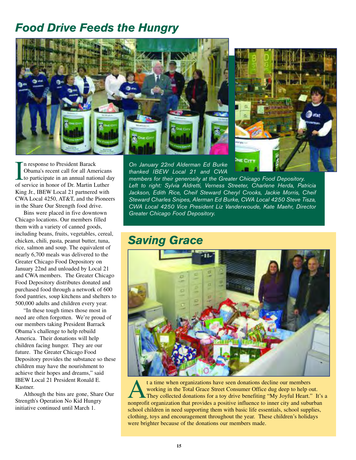# *Food Drive Feeds the Hungry*





*On January 22nd Alderman Ed Burke thanked IBEW Local 21 and CWA*

In response to President Barack<br>
Obama's recent call for all American<br>
to participate in an annual national d<br>
of service in honor of Dr. Martin Luther n response to President Barack Obama's recent call for all Americans to participate in an annual national day King Jr., IBEW Local 21 partnered with CWA Local 4250, AT&T, and the Pioneers in the Share Our Strength food drive.

Bins were placed in five downtown Chicago locations. Our members filled them with a variety of canned goods, including beans, fruits, vegetables, cereal, chicken, chili, pasta, peanut butter, tuna, rice, salmon and soup. The equivalent of nearly 6,700 meals was delivered to the Greater Chicago Food Depository on January 22nd and unloaded by Local 21 and CWA members. The Greater Chicago Food Depository distributes donated and purchased food through a network of 600 food pantries, soup kitchens and shelters to 500,000 adults and children every year.

"In these tough times those most in need are often forgotten. We're proud of our members taking President Barrack Obama's challenge to help rebuild America. Their donations will help children facing hunger. They are our future. The Greater Chicago Food Depository provides the substance so these children may have the nourishment to achieve their hopes and dreams," said IBEW Local 21 President Ronald E. Kastner.

Although the bins are gone, Share Our Strength's Operation No Kid Hungry initiative continued until March 1.

*members for their generosity at the Greater Chicago Food Depository. Left to right: Sylvia Aldretti, Verness Streeter, Charlene Herda, Patricia Jackson, Edith Rice, Cheif Steward Cheryl Crooks, Jackie Morris, Cheif Steward Charles Snipes, Alerman Ed Burke, CWA Local 4250 Steve Tisza, CWA Local 4250 Vice President Liz Vanderwoude, Kate Maehr, Director Greater Chicago Food Depository.*

# *Saving Grace*



t a time when organizations have seen donations decline our members<br>working in the Total Grace Street Consumer Office dug deep to help c<br>They collected donations for a toy drive benefiting "My Joyful Heart."<br>nonprofit orga working in the Total Grace Street Consumer Office dug deep to help out. They collected donations for a toy drive benefiting "My Joyful Heart." It's a nonprofit organization that provides a positive influence to inner city and suburban school children in need supporting them with basic life essentials, school supplies, clothing, toys and encouragement throughout the year. These children's holidays were brighter because of the donations our members made.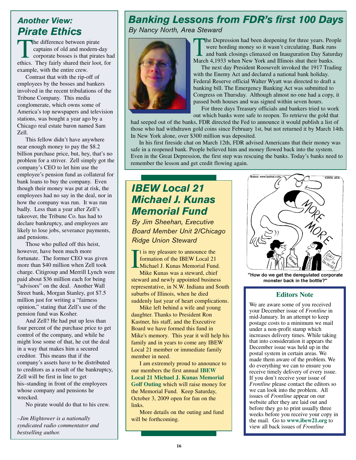# *Another View: Pirate Ethics*

The difference between pirate captains of old and modern-day corporate bosses is that pirates had ethics. They fairly shared their loot, for example, with the entire crew.

Contrast that with the rip-off of employees by the bosses and bankers involved in the recent tribulations of the Tribune Company. This media conglomerate, which owns some of America's top newspapers and television stations, was bought a year ago by a Chicago real estate baron named Sam Zell.

This fellow didn't have anywhere near enough money to pay the \$8.2 billion purchase price, but, hey, that's no problem for a striver. Zell simply got the company's CEO to let him use the employee's pension fund as collateral for bank loans to buy the company. Even though their money was put at risk, the employees had no say in the deal, nor in how the company was run. It was run badly. Less than a year after Zell's takeover, the Tribune Co. has had to declare bankruptcy, and employees are likely to lose jobs, severance payments, and pensions.

Those who pulled off this heist, however, have been much more fortunate. The former CEO was given more than \$40 million when Zell took charge. Citigroup and Merrill Lynch were paid about \$36 million each for being "advisors" on the deal. Another Wall Street bank, Morgan Stanley, got \$7.5 million just for writing a "fairness opinion," stating that Zell's use of the pension fund was Kosher.

And Zell? He had put up less than four percent of the purchase price to get control of the company, and while he might lose some of that, he cut the deal in a way that makes him a secured creditor. This means that if the company's assets have to be distributed to creditors as a result of the bankruptcy, Zell will be first in line to get his–standing in front of the employees whose company and pensions he wrecked.

No pirate would do that to his crew.

*–Jim Hightower is a nationally syndicated radio commentator and bestselling author.*

# *Banking Lessons from FDR's first 100 Days*

*By Nancy North, Area Steward*



The Depression had been deepening for three years. People<br>
were hording money so it wasn't circulating. Bank runs<br>
and bank closings climaxed on Inauguration Day Saturday<br>
March 4.1033 when Naw York and Illinois shut their were hording money so it wasn't circulating. Bank runs March 4,1933 when New York and Illinois shut their banks.

The next day President Roosevelt invoked the 1917 Trading with the Enemy Act and declared a national bank holiday. Federal Reserve official Walter Wyatt was directed to draft a banking bill. The Emergency Banking Act was submitted to Congress on Thursday. Although almost no one had a copy, it passed both houses and was signed within seven hours.

For three days Treasury officials and bankers tried to work out which banks were safe to reopen. To retrieve the gold that

had seeped out of the banks, FDR directed the Fed to announce it would publish a list of those who had withdrawn gold coins since February 1st, but not returned it by March 14th. In New York alone, over \$300 million was deposited.

In his first fireside chat on March 12th, FDR advised Americans that their money was safe in a reopened bank. People believed him and money flowed back into the system. Even in the Great Depression, the first step was rescuing the banks. Today's banks need to remember the lesson and get credit flowing again.

# *IBEW Local 21 Michael J. Kunas Memorial Fund*

*By Jim Sheehan, Executive Board Member Unit 2/Chicago Ridge Union Steward* 

I It is my pleasure to announce the formation of the IBEW Local 21 Michael J. Kunas Memorial Fund.

Mike Kunas was a steward, chief steward and newly appointed business representative, in N.W. Indiana and South suburbs of Illinois, when he died suddenly last year of heart complications.

Mike left behind a wife and young daughter. Thanks to President Ron Kastner, his staff, and the Executive Board we have formed this fund in Mike's memory. This year it will help his family and in years to come any IBEW Local 21 member or immediate family member in need.

I am extremely proud to announce to our members the first annual **IBEW Local 21 Michael J. Kunas Memorial Golf Outing** which will raise money for the Memorial Fund. Keep Saturday, October 3, 2009 open for fun on the links.

More details on the outing and fund will be forthcoming.



"How do we get the deregulated corporate monster back in the bottle?"

#### **Editors Note**

We are aware some of you received your December issue of *Frontline* in mid-January. In an attempt to keep postage costs to a minimum we mail under a non-profit stamp which increases delivery times. While taking that into consideration it appears the December issue was held up in the postal system in certain areas. We made them aware of the problem. We do everything we can to ensure you receive timely delivery of every issue. If you don't receive your issue of *Frontline* please contact the editors so we can look into the problem. All issues of *Frontline* appear on our website after they are laid out and before they go to print usually three weeks before you receive your copy in the mail. Go to **www.ibew21.org** to view all back issues of *Frontline*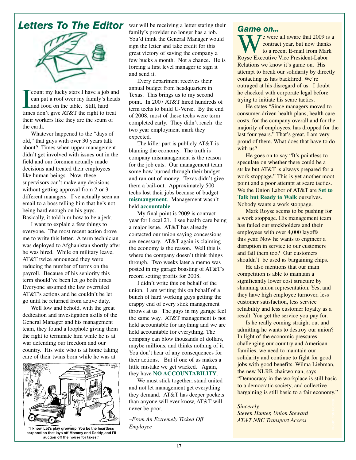

Count my lucky stars I have a job an can put a roof over my family's head and food on the table. Still, hard times don't give AT&T the right to treat count my lucky stars I have a job and can put a roof over my family's heads and food on the table. Still, hard their workers like they are the scum of the earth.

Whatever happened to the "days of old," that guys with over 30 years talk about? Times when upper management didn't get involved with issues out in the field and our foremen actually made decisions and treated their employees like human beings. Now, these supervisors can't make any decisions without getting approval from 2 or 3 different managers. I've actually seen an email to a boss telling him that he's not being hard enough on his guys. Basically, it told him how to be a jerk.

I want to explain a few things to everyone. The most recent action drove me to write this letter. A term technician was deployed to Afghanistan shortly after he was hired. While on military leave, AT&T twice announced they were reducing the number of terms on the payroll. Because of his seniority this term should've been let go both times. Everyone assumed the law overruled AT&T's actions and he couldn't be let go until he returned from active duty.

Well low and behold, with the great dedication and investigation skills of the General Manager and his management team, they found a loophole giving them the right to terminate him while he is at war defending our freedom and our country. His wife who is at home taking care of their twins born while he was at



"I know. Let's play grownup. You be the heartless corporation that lays off Mommy and Daddy, and I'll auction off the house for taxes."

family's provider no longer has a job. You'd think the General Manager would sign the letter and take credit for this great victory of saving the company a few bucks a month. Not a chance. He is forcing a first level manager to sign it and send it.

Every department receives their annual budget from headquarters in Texas. This brings us to my second point. In 2007 AT&T hired hundreds of term techs to build U-Verse. By the end of 2008, most of these techs were term completed early. They didn't reach the two year employment mark they expected.

The killer part is publicly AT&T is blaming the economy. The truth is company mismanagement is the reason for the job cuts. Our management team some how burned through their budget and ran out of money. Texas didn't give them a bail-out. Approximately 500 techs lost their jobs because of budget **mismangement**. Management wasn't held **accountable**.

My final point is 2009 is contract year for Local 21. I see health care being a major issue. AT&T has already contacted our union saying concessions are necessary. AT&T again is claiming the economy is the reason. Well this is where the company doesn't think things through. Two weeks later a memo was posted in my garage boasting of AT&T's record setting profits for 2008.

I didn't write this on behalf of the union. I am writing this on behalf of a bunch of hard working guys getting the crappy end of every stick management throws at us. The guys in my garage feel the same way. AT&T management is not held accountable for anything and we are held accountable for everything. The company can blow thousands of dollars, maybe millions, and thinks nothing of it. You don't hear of any consequences for their actions. But if one of us makes a little mistake we get wacked. Again, they have **NO ACCOUNTABILITY**.

We must stick together; stand united and not let management get everything they demand. AT&T has deeper pockets than anyone will ever know, AT&T will never be poor.

*–From An Extremely Ticked Off Employee*

 $\tau$  e were all aware that 2009 is a contract year, but now thanks to a recent E-mail from Mark Royse Executive Vice President-Labor Relations we know it's game on. His attempt to break our solidarity by directly contacting us has backfired. We're outraged at his disregard of us. I doubt he checked with corporate legal before trying to initiate his scare tactics.

He states "Since managers moved to consumer-driven health plans, health care costs, for the company overall and for the majority of employees, has dropped for the last four years." That's great. I am very proud of them. What does that have to do with us?

He goes on to say "It's pointless to speculate on whether there could be a strike but AT&T is always prepared for a work stoppage." This is yet another moot point and a poor attempt at scare tactics. We the Union Labor of AT&T are **Set to Talk but Ready to Walk** ourselves. Nobody wants a work stoppage.

Mark Royse seems to be pushing for a work stoppage. His management team has failed our stockholders and their employees with over 4,000 layoffs this year. Now he wants to engineer a disruption in service to our customers and fail them too? Our customers shouldn't be used as bargaining chips.

He also mentions that our main competition is able to maintain a significantly lower cost structure by shunning union representation. Yes, and they have high employee turnover, less customer satisfaction, less service reliability and less customer loyalty as a result. You get the service you pay for.

Is he really coming straight out and admitting he wants to destroy our union? In light of the economic pressures challenging our country and American families, we need to maintain our solidarity and continue to fight for good jobs with good benefits. Wilma Liebman, the new NLRB chairwoman, says "Democracy in the workplace is still basic to a democratic society, and collective bargaining is still basic to a fair economy."

#### *Sincerely,*

*Steven Hunter, Union Steward AT&T NRC Transport Access*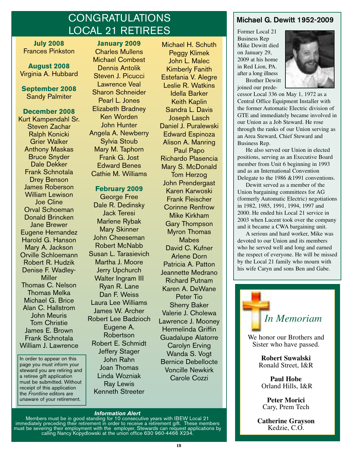# **CONGRATULATIONS** LOCAL 21 RETIREES

**July 2008** Frances Pinkston

**August 2008** Virginia A. Hubbard

**September 2008** Sandy Palmiter

#### **December 2008**

Kurt Kampendahl Sr. Steven Zachar Ralph Konicki Grier Walker Anthony Maskas Bruce Snyder Dale Dekker Frank Schnotala Drey Benson James Roberson William Lewison Joe Cline Orval Schoeman Donald Brincken Jane Brewer Eugene Hernandez Harold G. Hanson Mary A. Jackson Orville Schloemann Robert R. Hudzik Denise F. Wadley-**Miller** Thomas C. Nelson Thomas Melka Michael G. Brice Alan C. Hallstrom John Meuris Tom Christie James E. Brown Frank Schnotala William J. Lawrence

In order to appear on this page you must inform your steward you are retiring and a retiree gift application must be submitted. Without receipt of this application the *Frontline* editors are unaware of your retirement.

#### **January 2009** Charles Mullens Michael Combest Dennis Antolik Steven J. Picucci Lawrence Veal Sharon Schneider

Pearl L. Jones Elizabeth Bradney Ken Worden John Hunter Angela A. Newberry Sylvia Stoub Mary M. Taphorn Frank G. Jost Edward Benes Cathie M. Williams

#### **February 2009**

George Free Dale R. Dedinsky Jack Teresi Marlene Rybak Mary Skinner John Cheeseman Robert McNabb Susan L. Tarasievich Martha J. Moore Jerry Upchurch Walter Ingram III Ryan R. Lane Dan F. Weiss Laura Lee Williams James W. Archer Robert Lee Badzioch Eugene A. Robertson Robert E. Schmidt Jeffery Stager John Rahn Joan Thomas Linda Wozniak Ray Lewis Kenneth Streeter

Michael H. Schuth Peggy Klimek John L. Malec Kimberly Fanith Estefania V. Alegre Leslie R. Watkins Idella Barker Keith Kaplin Sandra L. Davis Joseph Lasch Daniel J. Puralewski Edward Espinoza Alison A. Manring Paul Papo Richardo Plasencia Mary S. McDonald Tom Herzog John Prendergast Karen Karwoski Frank Fleischer Corinne Renfrow Mike Kirkham Gary Thompson Myron Thomas **Mabes** David C. Kufner Arlene Dorn Patricia A. Patton Jeannette Medrano Richard Putnam Karen A. DeWane Peter Tio Sherry Baker Valerie J. Cholewa Lawrence J. Mooney Hermelinda Griffin Guadalupe Alatorre Carolyn Erving Wanda S. Vogt Bernice Debellocte Voncille Newkirk Carole Cozzi

### **Michael G. Dewitt 1952-2009**

Former Local 21 Business Rep Mike Dewitt died on January 29, 2009 at his home in Red Lion, PA. after a long illness Brother Dewitt

joined our prede-



cessor Local 336 on May 1, 1972 as a Central Office Equipment Installer with the former Automatic Electric division of GTE and immediately became involved in our Union as a Job Steward. He rose through the ranks of our Union serving as an Area Steward, Chief Steward and Business Rep.

He also served our Union in elected positions, serving as an Executive Board member from Unit 6 beginning in 1993 and as an International Convention Delegate to the 1986 & 1991 conventions.

Dewitt served as a member of the Union bargaining committees for AG (formerly Automatic Electric) negotiations in 1982, 1985, 1991, 1994, 1997 and 2000. He ended his Local 21 service in 2003 when Lucent took over the company and it became a CWA bargaining unit.

A serious and hard worker, Mike was devoted to our Union and its members who he served well and long and earned the respect of everyone. He will be missed by the Local 21 family who mourn with his wife Caryn and sons Ben and Gabe.



We honor our Brothers and Sister who have passed.

> **Robert Suwalski**  Ronald Street, I&R

**Paul Hobe**  Orland Hills, I&R

**Peter Morici**  Cary, Prem Tech

**Catherine Grayson** Kedzie, C.O.

#### *Information Alert*

Members must be in good standing for 10 consecutive years with IBEW Local 21 immediately preceding their retirement in order to receive a retirement gift. These members must be severing their employment with the employer. Stewards can request applications by calling Nancy Kopydlowski at the union office 630 960-4466 X234.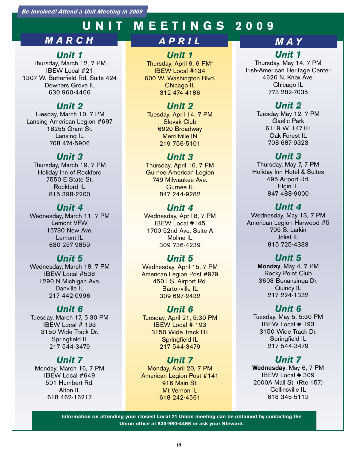*Be Involved! Attend a Unit Meeting in 2009*

# **UNIT MEETINGS 2009**

# *MARCH*

### *Unit 1*

Thursday, March 12, 7 PM IBEW Local #21 1307 W. Butterfield Rd. Suite 424 Downers Grove IL 630 960-4466

# *Unit 2*

Tuesday, March 10, 7 PM Lansing American Legion #697 18255 Grant St. Lansing IL 708 474-5906

# *Unit 3*

Thursday, March 19, 7 PM Holiday Inn of Rockford 7550 E State St. Rockford IL 815 398-2200

# *Unit 4*

Wednesday, March 11, 7 PM Lemont VFW 15780 New Ave. Lemont IL 630 257-9859

# *Unit 5*

Wednesday, March 18, 7 PM IBEW Local #538 1290 N Michigan Ave. Danville IL 217 442-0996

# *Unit 6*

Tuesday, March 17, 5:30 PM IBEW Local # 193 3150 Wide Track Dr. Springfield IL 217 544-3479

# *Unit 7*

Monday, March 16, 7 PM IBEW Local #649 501 Humbert Rd. Alton IL 618 462-16217

# *APRIL*

### *Unit 1*

Thursday, April 9, 6 PM\* IBEW Local #134 600 W. Washington Blvd. Chicago IL 312 474-4186

# *Unit 2*

Tuesday, April 14, 7 PM Slovak Club 6920 Broadway Merrillville IN 219 756-5101

# *Unit 3*

Thursday, April 16, 7 PM Gurnee American Legion 749 Milwaukee Ave. Gurnee IL 847 244-9282

# *Unit 4*

Wednesday, April 8, 7 PM IBEW Local #145 1700 52nd Ave, Suite A Moline IL 309 736-4239

# *Unit 5*

Wednesday, April 15, 7 PM American Legion Post #979 4501 S. Airport Rd. Bartonville IL 309 697-2432

# *Unit 6*

Tuesday, April 21, 5:30 PM IBEW Local # 193 3150 Wide Track Dr. Springfield IL 217 544-3479

# *Unit 7*

Monday, April 20, 7 PM American Legion Post #141 916 Main St. Mt Vernon IL 618 242-4561

# *MAY Unit 1*

Thursday, May 14, 7 PM Irish-American Heritage Center 4626 N. Knox Ave. Chicago IL 773 282-7035

### *Unit 2*

Tuesday May 12, 7 PM Gaelic Park 6119 W. 147TH Oak Forest IL 708 687-9323

# *Unit 3*

Thursday, May 7, 7 PM Holiday Inn Hotel & Suites 495 Airport Rd. Elgin IL 847 488-9000

# *Unit 4*

Wednesday, May 13, 7 PM American Legion Harwood #5 705 S. Larkin Joliet IL 815 725-4333

# *Unit 5*

**Monday**, May 4, 7 PM Rocky Point Club 3603 Bonansinga Dr. Quincy IL 217 224-1332

### *Unit 6*

Tuesday, May 5, 5:30 PM IBEW Local # 193 3150 Wide Track Dr. Springfield IL 217 544-3479

# *Unit 7*

**Wednesday**, May 6, 7 PM IBEW Local # 309 2000A Mall St. (Rte 157) Collinsville IL 618 345-5112

**Information on attending your closest Local 21 Union meeting can be obtained by contacting the Union office at 630-960-4466 or ask your Steward.**